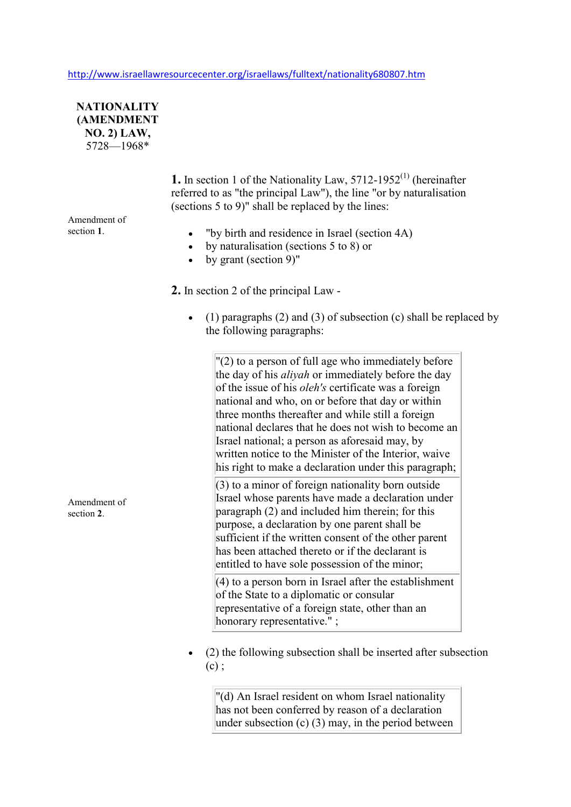http://www.israellawresourcecenter.org/israellaws/fulltext/nationality680807.htm



**1.** In section 1 of the Nationality Law,  $5712-1952^{(1)}$  (hereinafter referred to as "the principal Law"), the line "or by naturalisation (sections 5 to 9)" shall be replaced by the lines:

Amendment of section **1**.

- "by birth and residence in Israel (section 4A)
- by naturalisation (sections 5 to 8) or
- by grant (section 9)"
- **2.** In section 2 of the principal Law
	- (1) paragraphs (2) and (3) of subsection (c) shall be replaced by the following paragraphs:

 $"(2)$  to a person of full age who immediately before the day of his *aliyah* or immediately before the day of the issue of his *oleh's* certificate was a foreign national and who, on or before that day or within three months thereafter and while still a foreign national declares that he does not wish to become an Israel national; a person as aforesaid may, by written notice to the Minister of the Interior, waive his right to make a declaration under this paragraph:

(3) to a minor of foreign nationality born outside Israel whose parents have made a declaration under paragraph (2) and included him therein; for this purpose, a declaration by one parent shall be sufficient if the written consent of the other parent has been attached thereto or if the declarant is entitled to have sole possession of the minor;

 $(4)$  to a person born in Israel after the establishment of the State to a diplomatic or consular representative of a foreign state, other than an honorary representative." :

• (2) the following subsection shall be inserted after subsection  $(c)$ :

"(d) An Israel resident on whom Israel nationality has not been conferred by reason of a declaration under subsection  $(c)$  (3) may, in the period between

Amendment of section **2**.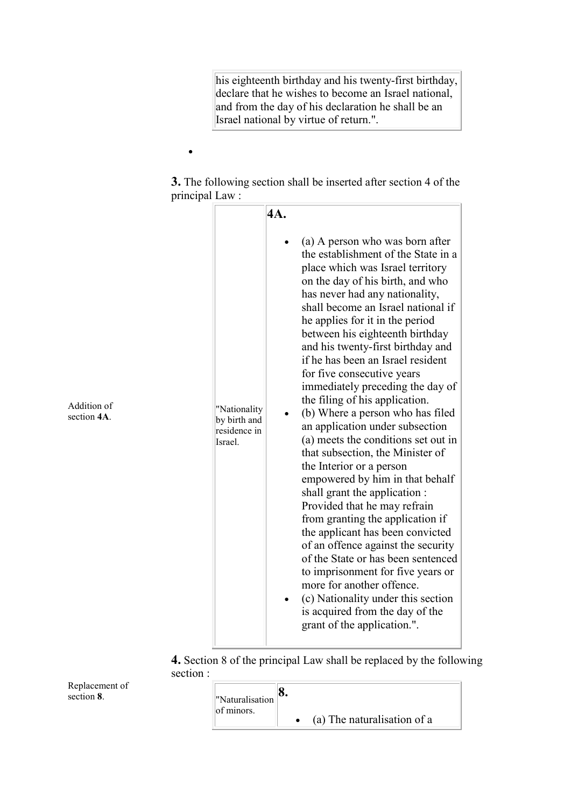his eighteenth birthday and his twenty-first birthday, declare that he wishes to become an Israel national, and from the day of his declaration he shall be an Israel national by virtue of return.".

**3.** The following section shall be inserted after section 4 of the principal Law :

•

|                            |                                                         | 4A.                                                                                                                                                                                                                                                                                                                                                                                                                                                                                                                                                                                                                                                                                                                                                                                                                                                                                                                                                                                                                                                                                        |
|----------------------------|---------------------------------------------------------|--------------------------------------------------------------------------------------------------------------------------------------------------------------------------------------------------------------------------------------------------------------------------------------------------------------------------------------------------------------------------------------------------------------------------------------------------------------------------------------------------------------------------------------------------------------------------------------------------------------------------------------------------------------------------------------------------------------------------------------------------------------------------------------------------------------------------------------------------------------------------------------------------------------------------------------------------------------------------------------------------------------------------------------------------------------------------------------------|
| Addition of<br>section 4A. | "Nationality<br>by birth and<br>residence in<br>Israel. | (a) A person who was born after<br>the establishment of the State in a<br>place which was Israel territory<br>on the day of his birth, and who<br>has never had any nationality,<br>shall become an Israel national if<br>he applies for it in the period<br>between his eighteenth birthday<br>and his twenty-first birthday and<br>if he has been an Israel resident<br>for five consecutive years<br>immediately preceding the day of<br>the filing of his application.<br>(b) Where a person who has filed<br>an application under subsection<br>(a) meets the conditions set out in<br>that subsection, the Minister of<br>the Interior or a person<br>empowered by him in that behalf<br>shall grant the application :<br>Provided that he may refrain<br>from granting the application if<br>the applicant has been convicted<br>of an offence against the security<br>of the State or has been sentenced<br>to imprisonment for five years or<br>more for another offence.<br>(c) Nationality under this section<br>is acquired from the day of the<br>grant of the application.". |

**4.** Section 8 of the principal Law shall be replaced by the following section :

Replacement of section **8**.

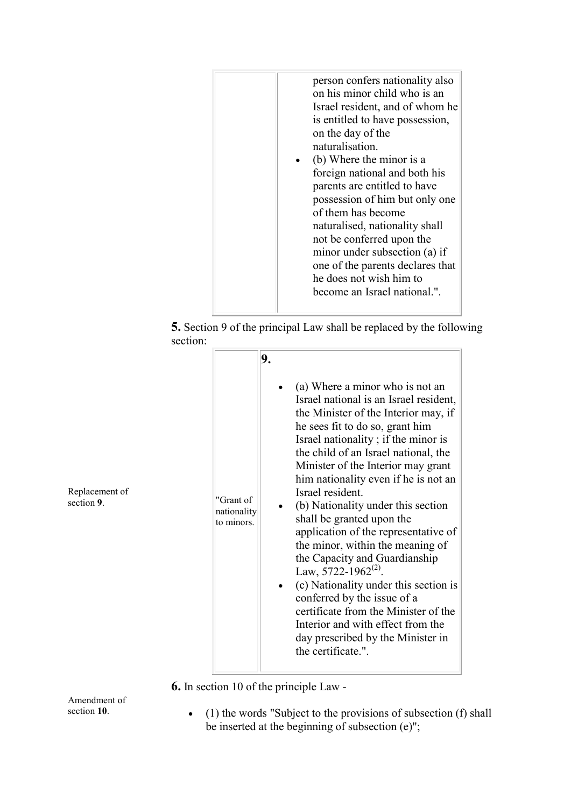| person confers nationality also<br>on his minor child who is an<br>Israel resident, and of whom he<br>is entitled to have possession,<br>on the day of the<br>naturalisation.<br>(b) Where the minor is a<br>foreign national and both his<br>parents are entitled to have<br>possession of him but only one<br>of them has become<br>naturalised, nationality shall<br>not be conferred upon the<br>minor under subsection (a) if<br>one of the parents declares that<br>he does not wish him to |
|---------------------------------------------------------------------------------------------------------------------------------------------------------------------------------------------------------------------------------------------------------------------------------------------------------------------------------------------------------------------------------------------------------------------------------------------------------------------------------------------------|
| become an Israel national.".                                                                                                                                                                                                                                                                                                                                                                                                                                                                      |
|                                                                                                                                                                                                                                                                                                                                                                                                                                                                                                   |



| "Grant of<br>nationality<br>to minors. | (a) Where a minor who is not an<br>Israel national is an Israel resident,<br>the Minister of the Interior may, if<br>he sees fit to do so, grant him<br>Israel nationality; if the minor is<br>the child of an Israel national, the<br>Minister of the Interior may grant<br>him nationality even if he is not an<br>Israel resident.<br>(b) Nationality under this section<br>shall be granted upon the<br>application of the representative of<br>the minor, within the meaning of<br>the Capacity and Guardianship<br>Law, 5722-1962 <sup>(2)</sup> .<br>(c) Nationality under this section is<br>conferred by the issue of a |
|----------------------------------------|----------------------------------------------------------------------------------------------------------------------------------------------------------------------------------------------------------------------------------------------------------------------------------------------------------------------------------------------------------------------------------------------------------------------------------------------------------------------------------------------------------------------------------------------------------------------------------------------------------------------------------|
|                                        |                                                                                                                                                                                                                                                                                                                                                                                                                                                                                                                                                                                                                                  |
|                                        | certificate from the Minister of the<br>Interior and with effect from the<br>day prescribed by the Minister in<br>the certificate.".                                                                                                                                                                                                                                                                                                                                                                                                                                                                                             |

**6.** In section 10 of the principle Law -

Amendment of section **10**.

• (1) the words "Subject to the provisions of subsection (f) shall be inserted at the beginning of subsection (e)";

Replacement of section **9**.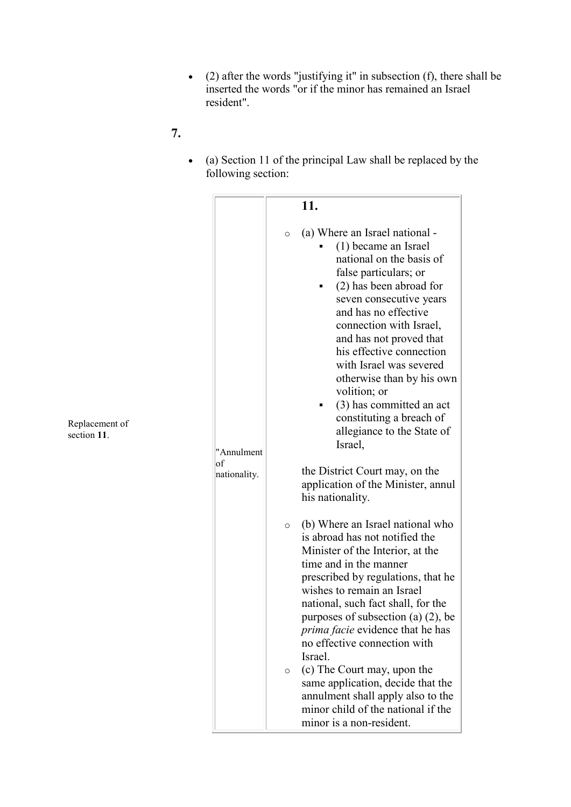- (2) after the words "justifying it" in subsection (f), there shall be inserted the words "or if the minor has remained an Israel resident".
- **7.**
- (a) Section 11 of the principal Law shall be replaced by the following section:

|                                  | 11.                                                                                                                                                                                                                                                                                                                                                                                                                                                                                                                                                                                            |
|----------------------------------|------------------------------------------------------------------------------------------------------------------------------------------------------------------------------------------------------------------------------------------------------------------------------------------------------------------------------------------------------------------------------------------------------------------------------------------------------------------------------------------------------------------------------------------------------------------------------------------------|
| "Annulment<br>of<br>nationality. | (a) Where an Israel national -<br>$\circ$<br>(1) became an Israel<br>national on the basis of<br>false particulars; or<br>(2) has been abroad for<br>seven consecutive years<br>and has no effective<br>connection with Israel,<br>and has not proved that<br>his effective connection<br>with Israel was severed<br>otherwise than by his own<br>volition; or<br>(3) has committed an act<br>constituting a breach of<br>allegiance to the State of<br>Israel,<br>the District Court may, on the<br>application of the Minister, annul                                                        |
|                                  | his nationality.<br>(b) Where an Israel national who<br>$\circ$<br>is abroad has not notified the<br>Minister of the Interior, at the<br>time and in the manner<br>prescribed by regulations, that he<br>wishes to remain an Israel<br>national, such fact shall, for the<br>purposes of subsection (a) $(2)$ , be<br><i>prima facie</i> evidence that he has<br>no effective connection with<br>Israel.<br>(c) The Court may, upon the<br>$\circ$<br>same application, decide that the<br>annulment shall apply also to the<br>minor child of the national if the<br>minor is a non-resident. |

Replacement of section **11**.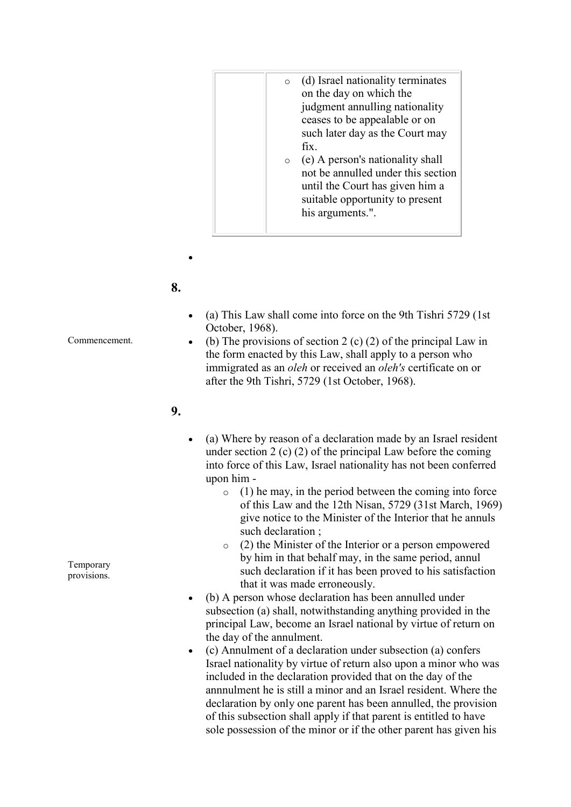| (d) Israel nationality terminates<br>$\circ$<br>on the day on which the<br>judgment annulling nationality<br>ceases to be appealable or on<br>such later day as the Court may<br>fix.<br>(e) A person's nationality shall<br>$\circ$<br>not be annulled under this section<br>until the Court has given him a<br>suitable opportunity to present<br>his arguments.". |  |  |
|----------------------------------------------------------------------------------------------------------------------------------------------------------------------------------------------------------------------------------------------------------------------------------------------------------------------------------------------------------------------|--|--|
|                                                                                                                                                                                                                                                                                                                                                                      |  |  |

## **8.**

•

- (a) This Law shall come into force on the 9th Tishri 5729 (1st October, 1968).
- (b) The provisions of section 2 (c) (2) of the principal Law in the form enacted by this Law, shall apply to a person who immigrated as an *oleh* or received an *oleh's* certificate on or after the 9th Tishri, 5729 (1st October, 1968).

## **9.**

- (a) Where by reason of a declaration made by an Israel resident under section 2 (c) (2) of the principal Law before the coming into force of this Law, Israel nationality has not been conferred upon him -
	- $\circ$  (1) he may, in the period between the coming into force of this Law and the 12th Nisan, 5729 (31st March, 1969) give notice to the Minister of the Interior that he annuls such declaration ;
	- o (2) the Minister of the Interior or a person empowered by him in that behalf may, in the same period, annul such declaration if it has been proved to his satisfaction that it was made erroneously.
- (b) A person whose declaration has been annulled under subsection (a) shall, notwithstanding anything provided in the principal Law, become an Israel national by virtue of return on the day of the annulment.
- (c) Annulment of a declaration under subsection (a) confers Israel nationality by virtue of return also upon a minor who was included in the declaration provided that on the day of the annnulment he is still a minor and an Israel resident. Where the declaration by only one parent has been annulled, the provision of this subsection shall apply if that parent is entitled to have sole possession of the minor or if the other parent has given his

Temporary provisions.

Commencement.